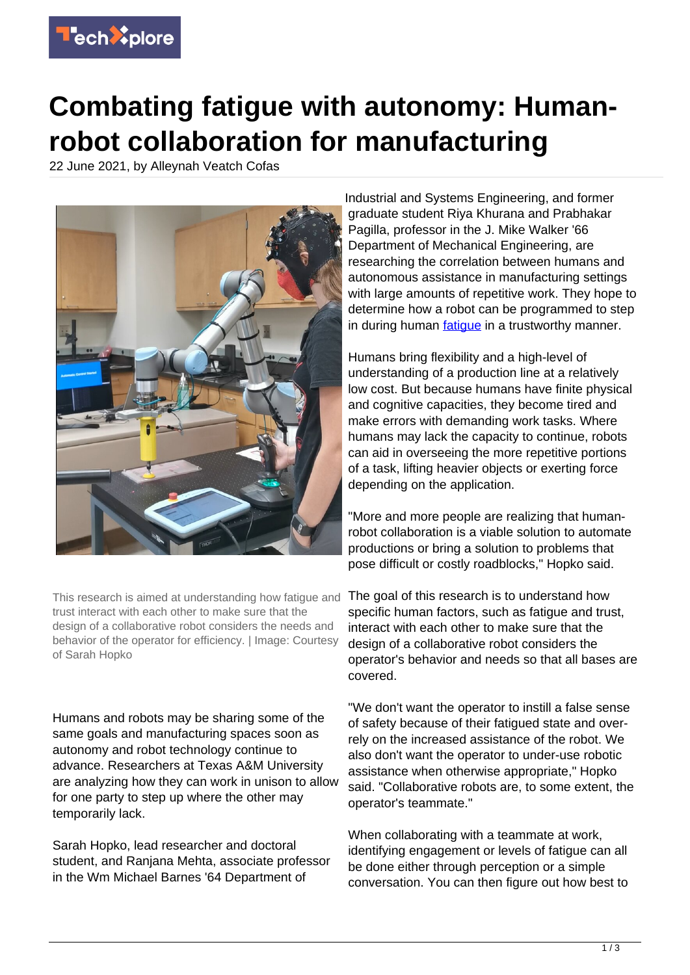

## **Combating fatigue with autonomy: Humanrobot collaboration for manufacturing**

22 June 2021, by Alleynah Veatch Cofas



This research is aimed at understanding how fatigue and trust interact with each other to make sure that the design of a collaborative robot considers the needs and behavior of the operator for efficiency. | Image: Courtesy of Sarah Hopko

Humans and robots may be sharing some of the same goals and manufacturing spaces soon as autonomy and robot technology continue to advance. Researchers at Texas A&M University are analyzing how they can work in unison to allow for one party to step up where the other may temporarily lack.

Sarah Hopko, lead researcher and doctoral student, and Ranjana Mehta, associate professor in the Wm Michael Barnes '64 Department of

Industrial and Systems Engineering, and former graduate student Riya Khurana and Prabhakar Pagilla, professor in the J. Mike Walker '66 Department of Mechanical Engineering, are researching the correlation between humans and autonomous assistance in manufacturing settings with large amounts of repetitive work. They hope to determine how a robot can be programmed to step in during human fatique in a trustworthy manner.

Humans bring flexibility and a high-level of understanding of a production line at a relatively low cost. But because humans have finite physical and cognitive capacities, they become tired and make errors with demanding work tasks. Where humans may lack the capacity to continue, robots can aid in overseeing the more repetitive portions of a task, lifting heavier objects or exerting force depending on the application.

"More and more people are realizing that humanrobot collaboration is a viable solution to automate productions or bring a solution to problems that pose difficult or costly roadblocks," Hopko said.

The goal of this research is to understand how specific human factors, such as fatigue and trust, interact with each other to make sure that the design of a collaborative robot considers the operator's behavior and needs so that all bases are covered.

"We don't want the operator to instill a false sense of safety because of their fatigued state and overrely on the increased assistance of the robot. We also don't want the operator to under-use robotic assistance when otherwise appropriate," Hopko said. "Collaborative robots are, to some extent, the operator's teammate."

When collaborating with a teammate at work, identifying engagement or levels of fatigue can all be done either through perception or a simple conversation. You can then figure out how best to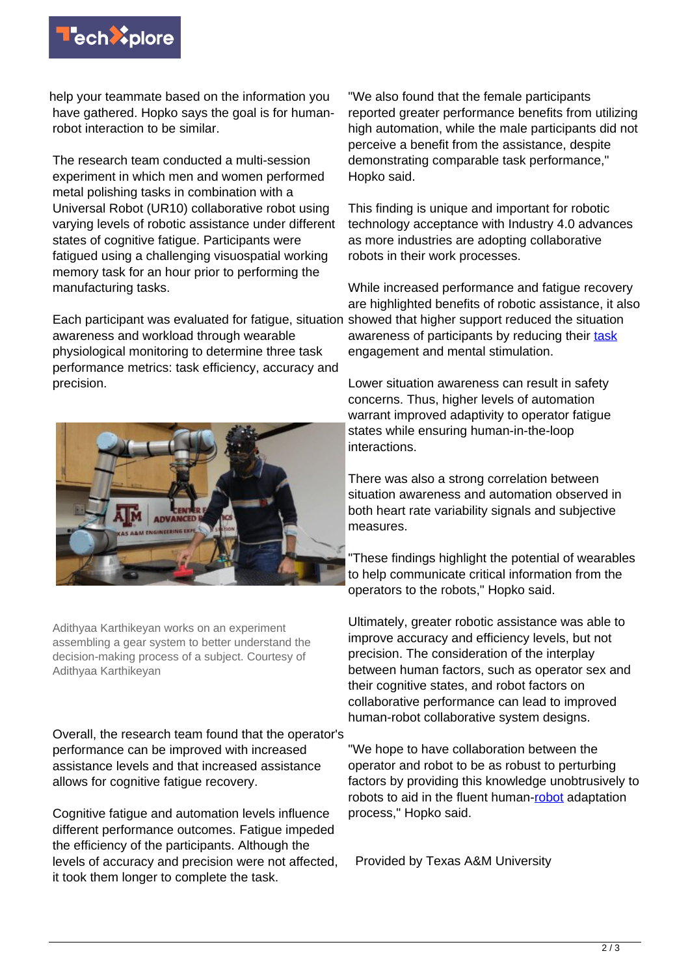

help your teammate based on the information you have gathered. Hopko says the goal is for humanrobot interaction to be similar.

The research team conducted a multi-session experiment in which men and women performed metal polishing tasks in combination with a Universal Robot (UR10) collaborative robot using varying levels of robotic assistance under different states of cognitive fatigue. Participants were fatigued using a challenging visuospatial working memory task for an hour prior to performing the manufacturing tasks.

Each participant was evaluated for fatigue, situation showed that higher support reduced the situation awareness and workload through wearable physiological monitoring to determine three task performance metrics: task efficiency, accuracy and precision.



Adithyaa Karthikeyan works on an experiment assembling a gear system to better understand the decision-making process of a subject. Courtesy of Adithyaa Karthikeyan

Overall, the research team found that the operator's performance can be improved with increased assistance levels and that increased assistance allows for cognitive fatigue recovery.

Cognitive fatigue and automation levels influence different performance outcomes. Fatigue impeded the efficiency of the participants. Although the levels of accuracy and precision were not affected, it took them longer to complete the task.

"We also found that the female participants reported greater performance benefits from utilizing high automation, while the male participants did not perceive a benefit from the assistance, despite demonstrating comparable task performance," Hopko said.

This finding is unique and important for robotic technology acceptance with Industry 4.0 advances as more industries are adopting collaborative robots in their work processes.

While increased performance and fatigue recovery are highlighted benefits of robotic assistance, it also awareness of participants by reducing their [task](https://techxplore.com/tags/task/) engagement and mental stimulation.

Lower situation awareness can result in safety concerns. Thus, higher levels of automation warrant improved adaptivity to operator fatigue states while ensuring human-in-the-loop interactions.

There was also a strong correlation between situation awareness and automation observed in both heart rate variability signals and subjective measures.

"These findings highlight the potential of wearables to help communicate critical information from the operators to the robots," Hopko said.

Ultimately, greater robotic assistance was able to improve accuracy and efficiency levels, but not precision. The consideration of the interplay between human factors, such as operator sex and their cognitive states, and robot factors on collaborative performance can lead to improved human-robot collaborative system designs.

"We hope to have collaboration between the operator and robot to be as robust to perturbing factors by providing this knowledge unobtrusively to robots to aid in the fluent human[-robot](https://techxplore.com/tags/robot/) adaptation process," Hopko said.

Provided by Texas A&M University